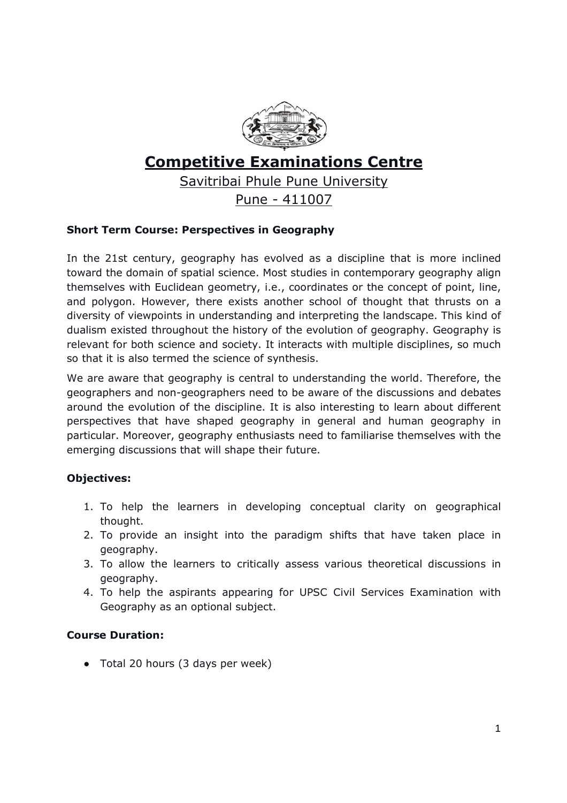

# **Competitive Examinations Centre**

Savitribai Phule Pune University

Pune - 411007

# **Short Term Course: Perspectives in Geography**

In the 21st century, geography has evolved as a discipline that is more inclined toward the domain of spatial science. Most studies in contemporary geography align themselves with Euclidean geometry, i.e., coordinates or the concept of point, line, and polygon. However, there exists another school of thought that thrusts on a diversity of viewpoints in understanding and interpreting the landscape. This kind of dualism existed throughout the history of the evolution of geography. Geography is relevant for both science and society. It interacts with multiple disciplines, so much so that it is also termed the science of synthesis.

We are aware that geography is central to understanding the world. Therefore, the geographers and non-geographers need to be aware of the discussions and debates around the evolution of the discipline. It is also interesting to learn about different perspectives that have shaped geography in general and human geography in particular. Moreover, geography enthusiasts need to familiarise themselves with the emerging discussions that will shape their future.

# **Objectives:**

- 1. To help the learners in developing conceptual clarity on geographical thought.
- 2. To provide an insight into the paradigm shifts that have taken place in geography.
- 3. To allow the learners to critically assess various theoretical discussions in geography.
- 4. To help the aspirants appearing for UPSC Civil Services Examination with Geography as an optional subject.

### **Course Duration:**

• Total 20 hours (3 days per week)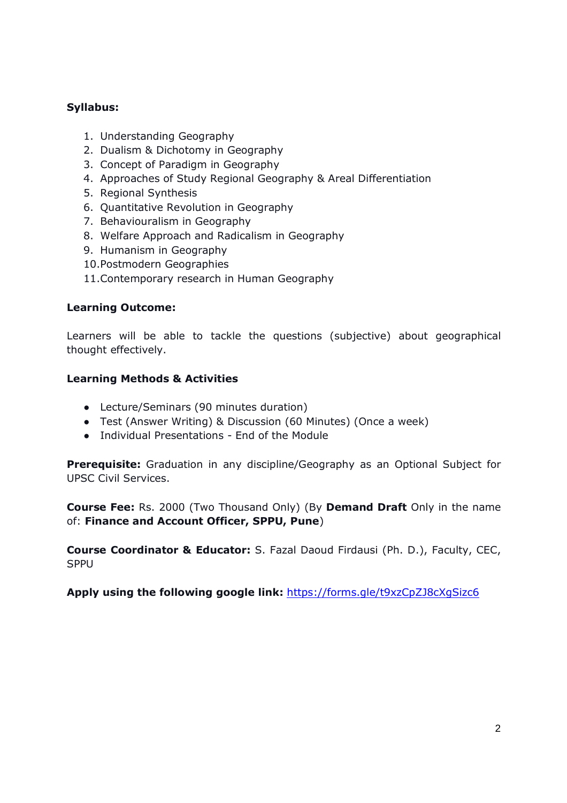## **Syllabus:**

- 1. Understanding Geography
- 2. Dualism & Dichotomy in Geography
- 3. Concept of Paradigm in Geography
- 4. Approaches of Study Regional Geography & Areal Differentiation
- 5. Regional Synthesis
- 6. Quantitative Revolution in Geography
- 7. Behaviouralism in Geography
- 8. Welfare Approach and Radicalism in Geography
- 9. Humanism in Geography
- 10.Postmodern Geographies
- 11.Contemporary research in Human Geography

#### **Learning Outcome:**

Learners will be able to tackle the questions (subjective) about geographical thought effectively.

### **Learning Methods & Activities**

- Lecture/Seminars (90 minutes duration)
- Test (Answer Writing) & Discussion (60 Minutes) (Once a week)
- Individual Presentations End of the Module

**Prerequisite:** Graduation in any discipline/Geography as an Optional Subject for UPSC Civil Services.

**Course Fee:** Rs. 2000 (Two Thousand Only) (By **Demand Draft** Only in the name of: **Finance and Account Officer, SPPU, Pune**)

**Course Coordinator & Educator:** S. Fazal Daoud Firdausi (Ph. D.), Faculty, CEC, SPPU

**Apply using the following google link:** https://forms.gle/t9xzCpZJ8cXgSizc6